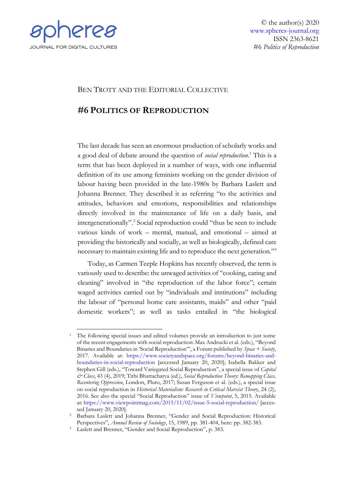

© the author(s) 2020 [www.spheres-journal.org](http://www.spheres-journal.org/) ISSN 2363-8621 #6 *Politics of Reproduction*

## BEN TROTT AND THE EDITORIAL COLLECTIVE

# **#6 POLITICS OF REPRODUCTION**

The last decade has seen an enormous production of scholarly works and a good deal of debate around the question of *social reproduction*. <sup>1</sup> This is a term that has been deployed in a number of ways, with one influential definition of its use among feminists working on the gender division of labour having been provided in the late-1980s by Barbara Laslett and Johanna Brenner. They described it as referring "to the activities and attitudes, behaviors and emotions, responsibilities and relationships directly involved in the maintenance of life on a daily basis, and intergenerationally".<sup>2</sup> Social reproduction could "thus be seen to include various kinds of work – mental, manual, and emotional – aimed at providing the historically and socially, as well as biologically, defined care necessary to maintain existing life and to reproduce the next generation."<sup>3</sup>

Today, as Carmen Teeple Hopkins has recently observed, the term is variously used to describe: the unwaged activities of "cooking, caring and cleaning" involved in "the reproduction of the labor force"; certain waged activities carried out by "individuals and institutions" including the labour of "personal home care assistants, maids" and other "paid domestic workers"; as well as tasks entailed in "the biological

<sup>&</sup>lt;sup>1</sup> The following special issues and edited volumes provide an introduction to just some of the recent engagements with social reproduction: Max Andrucki et al. (eds.), "Beyond Binaries and Boundaries in 'Social Reproduction'", a Forum published by *Space + Society*, 2017. Available at: [https://www.societyandspace.org/forums/beyond-binaries-and](https://www.societyandspace.org/forums/beyond-binaries-and-boundaries-in-social-reproduction)[boundaries-in-social-reproduction](https://www.societyandspace.org/forums/beyond-binaries-and-boundaries-in-social-reproduction) [accessed January 20, 2020]; Isabella Bakker and Stephen Gill (eds.), "Toward Variegated Social Reproduction", a special issue of *Capital & Class*, 43 (4), 2019; Tithi Bhattacharya (ed.), *Social Reproduction Theory: Remapping Class, Recentering Oppression*, London, Pluto, 2017; Susan Ferguson et al. (eds.), a special issue on social reproduction in *Historical Materialism: Research in Critical Marxist Theory*, 24 (2), 2016. See also the special "Social Reproduction" issue of *Viewpoint*, 5, 2015. Available at[: https://www.viewpointmag.com/2015/11/02/issue-](https://www.viewpointmag.com/2015/11/02/issue)5-social-reproduction/ [accessed January 20, 2020].

<sup>2</sup> Barbara Laslett and Johanna Brenner, "Gender and Social Reproduction: Historical Perspectives", *Annual Review of Sociology*, 15, 1989, pp. 381-404, here: pp. 382-383.

<sup>3</sup> Laslett and Brenner, "Gender and Social Reproduction", p. 383.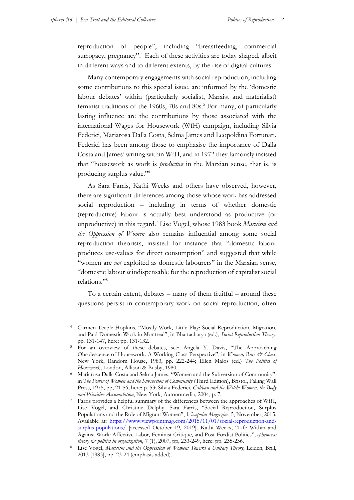reproduction of people", including "breastfeeding, commercial surrogacy, pregnancy".<sup>4</sup> Each of these activities are today shaped, albeit in different ways and to different extents, by the rise of digital cultures.

Many contemporary engagements with social reproduction, including some contributions to this special issue, are informed by the 'domestic labour debates' within (particularly socialist, Marxist and materialist) feminist traditions of the 1960s, 70s and 80s.<sup>5</sup> For many, of particularly lasting influence are the contributions by those associated with the international Wages for Housework (WfH) campaign, including Silvia Federici, Mariarosa Dalla Costa, Selma James and Leopoldina Fortunati. Federici has been among those to emphasise the importance of Dalla Costa and James' writing within WfH, and in 1972 they famously insisted that "housework as work is *productive* in the Marxian sense, that is, is producing surplus value."<sup>6</sup>

As Sara Farris, Kathi Weeks and others have observed, however, there are significant differences among those whose work has addressed social reproduction – including in terms of whether domestic (reproductive) labour is actually best understood as productive (or unproductive) in this regard.<sup>7</sup> Lise Vogel, whose 1983 book *Marxism and the Oppression of Women* also remains influential among some social reproduction theorists, insisted for instance that "domestic labour produces use-values for direct consumption" and suggested that while "women are *not* exploited as domestic labourers" in the Marxian sense, "domestic labour *is* indispensable for the reproduction of capitalist social relations."<sup>8</sup>

To a certain extent, debates – many of them fruitful – around these questions persist in contemporary work on social reproduction, often

<sup>4</sup> Carmen Teeple Hopkins, "Mostly Work, Little Play: Social Reproduction, Migration, and Paid Domestic Work in Montreal", in Bhattacharya (ed.), *Social Reproduction Theory*, pp. 131-147, here: pp. 131-132.

<sup>&</sup>lt;sup>5</sup> For an overview of these debates, see: Angela Y. Davis, "The Approaching Obsolescence of Housework: A Working-Class Perspective", in *Women, Race & Class*, New York, Random House, 1983, pp. 222-244; Ellen Malos (ed.) *The Politics of Housework*, London, Allison & Busby, 1980.

<sup>6</sup> Mariarosa Dalla Costa and Selma James, "Women and the Subversion of Community", in *The Power of Women and the Subversion of Community* (Third Edition), Bristol, Falling Wall Press, 1975, pp, 21-56, here: p. 53; Silvia Federici, *Caliban and the Witch: Women, the Body and Primitive Accumulation*, New York, Autonomedia, 2004, p. 7.

<sup>7</sup> Farris provides a helpful summary of the differences between the approaches of WfH, Lise Vogel, and Christine Delphy. Sara Farris, "Social Reproduction, Surplus Populations and the Role of Migrant Women", *Viewpoint Magazine*, 5, November, 2015. Available at: [https://www.viewpointmag.com/2015/11/01/social-reproduction-and](https://www.viewpointmag.com/2015/11/01/social-reproduction-and-surplus-populations/)[surplus-populations/](https://www.viewpointmag.com/2015/11/01/social-reproduction-and-surplus-populations/) [accessed October 19, 2019]. Kathi Weeks, "Life Within and Against Work: Affective Labor, Feminist Critique, and Post-Fordist Politics", *ephemera: theory & politics in organization*, 7 (1), 2007, pp, 233-249, here: pp. 235-236.

<sup>8</sup> Lise Vogel, *Marxism and the Oppression of Women: Toward a Unitary Theory*, Leiden, Brill, 2013 [1983], pp. 23-24 (emphasis added).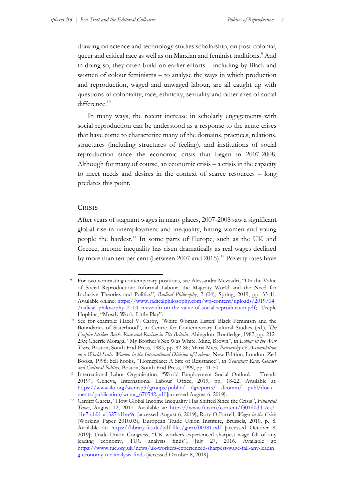drawing on science and technology studies scholarship, on post-colonial, queer and critical race as well as on Marxian and feminist traditions.<sup>9</sup> And in doing so, they often build on earlier efforts – including by Black and women of colour feminisms – to analyse the ways in which production and reproduction, waged and unwaged labour, are all caught up with questions of coloniality, race, ethnicity, sexuality and other axes of social difference.<sup>10</sup>

In many ways, the recent increase in scholarly engagements with social reproduction can be understood as a response to the acute crises that have come to characterize many of the domains, practices, relations, structures (including structures of feeling), and institutions of social reproduction since the economic crisis that began in 2007-2008. Although for many of course, an economic crisis – a crisis in the capacity to meet needs and desires in the context of scarce resources – long predates this point.

### **CRISIS**

After years of stagnant wages in many places, 2007-2008 saw a significant global rise in unemployment and inequality, hitting women and young people the hardest.<sup>11</sup> In some parts of Europe, such as the UK and Greece, income inequality has risen dramatically as real wages declined by more than ten per cent (between 2007 and 2015).<sup>12</sup> Poverty rates have

<sup>9</sup> For two contrasting contemporary positions, see Alessandra Mezzadri, "On the Value of Social Reproduction: Informal Labour, the Majority World and the Need for Inclusive Theories and Politics", *Radical Philosophy*, 2 (04), Spring, 2019, pp. 33-41. Available online: [https://www.radicalphilosophy.com/wp-content/uploads/2019/04](https://www.radicalphilosophy.com/wp-content/uploads/2019/04/radical_philosophy_2_04_mezzadri-on-the-value-of-social-reproduction.pdf) [/radical\\_philosophy\\_2\\_04\\_mezzadri-on-the-value-of-social-reproduction.pdf;](https://www.radicalphilosophy.com/wp-content/uploads/2019/04/radical_philosophy_2_04_mezzadri-on-the-value-of-social-reproduction.pdf) Teeple Hopkins, "Mostly Work, Little Play".

<sup>10</sup> See for example: Hazel V. Carby, "White Woman Listen! Black Feminism and the Boundaries of Sisterhood", in Centre for Contemporary Cultural Studies (ed.), *The Empire Strikes Back: Race and Racism in 70s Britain*, Abingdon, Routledge, 1982, pp. 212- 235; Cherríe Moraga, "My Brother's Sex Was White. Mine, Brown", in *Loving in the War Years*, Boston, South End Press, 1983, pp. 82-86; Maria Mies, *Patriarchy & Accumulation on a World Scale: Women in the International Division of Labour*, New Edition, London, Zed Books, 1998; bell hooks, "Homeplace: A Site of Resistance", in *Yearning: Race, Gender and Cultural Politics*, Boston, South End Press, 1999, pp. 41-50.

<sup>11</sup> International Labor Organisation, "World Employment Social Outlook – Trends 2019", Geneva, International Labour Office, 2019, pp. 18-22. Available at: [https://www.ilo.org/wcmsp5/groups/public/---dgreports/---dcomm/---publ/docu](https://www.ilo.org/wcmsp5/groups/public/---dgreports/---dcomm/---publ/documents/publication/wcms_670542.pdf) [ments/publication/wcms\\_670542.pdf](https://www.ilo.org/wcmsp5/groups/public/---dgreports/---dcomm/---publ/documents/publication/wcms_670542.pdf) [accessed August 6, 2019].

<sup>12</sup> Cardiff Garcia, "How Global Income Inequality Has Shifted Since the Crisis", *Financial Times*, August 12, 2017. Available at: [https://www.ft.com/content/f301d0d4-7ea3-](https://www.ft.com/content/f301d0d4-7ea3-11e7-ab01-a13271d1ee9c) [11e7-ab01-a13271d1ee9c](https://www.ft.com/content/f301d0d4-7ea3-11e7-ab01-a13271d1ee9c) [accessed August 6, 2019]; Rory O Farrell, *Wages in the Crisis*  (Working Paper 2010.03), European Trade Union Institute, Brussels, 2010, p. 8. Available at: <https://library.fes.de/pdf-files/gurn/00381.pdf> [accessed October 8, 2019]; Trade Union Congress, "UK workers experienced sharpest wage fall of any leading economy, TUC analysis finds", July 27, 2016. Available at: [https://www.tuc.org.uk/news/uk-workers-experienced-sharpest-wage-fall-any-leadin](https://www.tuc.org.uk/news/uk-workers-experienced-sharpest-wage-fall-any-leading-economy-tuc-analysis-finds) [g-economy-tuc-analysis-finds](https://www.tuc.org.uk/news/uk-workers-experienced-sharpest-wage-fall-any-leading-economy-tuc-analysis-finds) [accessed October 8, 2019].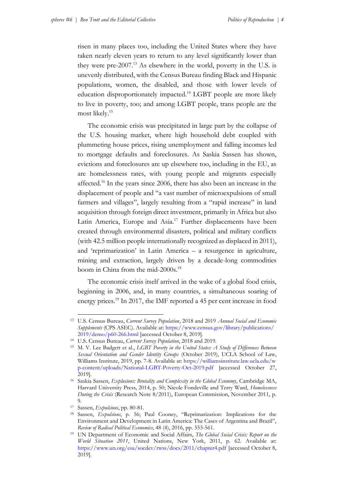risen in many places too, including the United States where they have taken nearly eleven years to return to any level significantly lower than they were pre- $2007<sup>13</sup>$  As elsewhere in the world, poverty in the U.S. is unevenly distributed, with the Census Bureau finding Black and Hispanic populations, women, the disabled, and those with lower levels of education disproportionately impacted.<sup>14</sup> LGBT people are more likely to live in poverty, too; and among LGBT people, trans people are the most likely.<sup>15</sup>

The economic crisis was precipitated in large part by the collapse of the U.S. housing market, where high household debt coupled with plummeting house prices, rising unemployment and falling incomes led to mortgage defaults and foreclosures. As Saskia Sassen has shown, evictions and foreclosures are up elsewhere too, including in the EU, as are homelessness rates, with young people and migrants especially affected.<sup>16</sup> In the years since 2006, there has also been an increase in the displacement of people and "a vast number of microexpulsions of small farmers and villages", largely resulting from a "rapid increase" in land acquisition through foreign direct investment, primarily in Africa but also Latin America, Europe and Asia.<sup>17</sup> Further displacements have been created through environmental disasters, political and military conflicts (with 42.5 million people internationally recognized as displaced in 2011), and 'reprimarization' in Latin America – a resurgence in agriculture, mining and extraction, largely driven by a decade-long commodities boom in China from the mid-2000s.<sup>18</sup>

The economic crisis itself arrived in the wake of a global food crisis, beginning in 2006, and, in many countries, a simultaneous soaring of energy prices.<sup>19</sup> In 2017, the IMF reported a 45 per cent increase in food

<sup>13</sup> U.S. Census Bureau, *Current Survey Population*, 2018 and 2019 *Annual Social and Economic Supplements* (CPS ASEC). Available at: [https://www.census.gov/library/publications/](https://www.census.gov/library/publications/2019/demo/p60-266.html) [2019/demo/p60-266.html](https://www.census.gov/library/publications/2019/demo/p60-266.html) [accessed October 8, 2019].

<sup>14</sup> U.S. Census Bureau, *Current Survey Population*, 2018 and 2019.

<sup>15</sup> M. V. Lee Badgett et al., *LGBT Poverty in the United States: A Study of Differences Between Sexual Orientation and Gender Identity Groups* (October 2019), UCLA School of Law, Williams Institute, 2019, pp. 7-8. Available at: [https://williamsinstitute.law.ucla.edu/w](https://williamsinstitute.law.ucla.edu/wp-content/uploads/National-LGBT-Poverty-Oct-2019.pdf) [p-content/uploads/National-LGBT-Poverty-Oct-2019.pdf](https://williamsinstitute.law.ucla.edu/wp-content/uploads/National-LGBT-Poverty-Oct-2019.pdf) [accessed October 27, 2019].

<sup>16</sup> Saskia Sassen, *Explusions: Brutality and Complexity in the Global Economy*, Cambridge MA, Harvard University Press, 2014, p. 50; Nicole Fondeville and Terry Ward, *Homelessness During the Crisis* (Research Note 8/2011), European Commission, November 2011, p. 9.

<sup>17</sup> Sassen, *Expulsions*, pp. 80-81.

<sup>18</sup> Sassen, *Expulsions*, p. 56; Paul Cooney, "Reprimarization: Implications for the Environment and Development in Latin America: The Cases of Argentina and Brazil", *Review of Radical Political Economics*, 48 (4), 2016, pp. 553-561.

<sup>19</sup> UN Department of Economic and Social Affairs, *The Global Social Crisis: Report on the World Situation 2011*, United Nations, New York, 2011, p. 62. Available at: <https://www.un.org/esa/socdev/rwss/docs/2011/chapter4.pdf> [accessed October 8, 2019].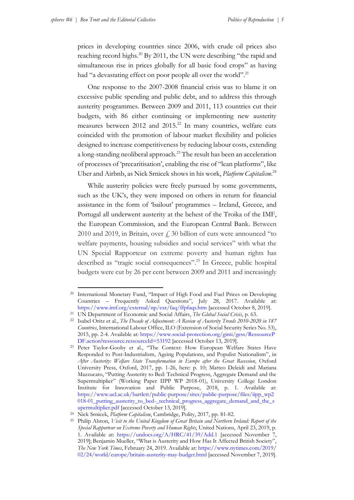prices in developing countries since 2006, with crude oil prices also reaching record highs.<sup>20</sup> By 2011, the UN were describing "the rapid and simultaneous rise in prices globally for all basic food crops" as having had "a devastating effect on poor people all over the world".<sup>21</sup>

One response to the 2007-2008 financial crisis was to blame it on excessive public spending and public debt, and to address this through austerity programmes. Between 2009 and 2011, 113 countries cut their budgets, with 86 either continuing or implementing new austerity measures between  $2012$  and  $2015<sup>22</sup>$  In many countries, welfare cuts coincided with the promotion of labour market flexibility and policies designed to increase competitiveness by reducing labour costs, extending a long-standing neoliberal approach.<sup>23</sup> The result has been an acceleration of processes of 'precaritisation', enabling the rise of "lean platforms", like Uber and Airbnb, as Nick Srnicek shows in his work, *Platform Capitalism*. 24

While austerity policies were freely pursued by some governments, such as the UK's, they were imposed on others in return for financial assistance in the form of 'bailout' programmes – Ireland, Greece, and Portugal all underwent austerity at the behest of the Troika of the IMF, the European Commission, and the European Central Bank. Between 2010 and 2019, in Britain, over  $\neq$  30 billion of cuts were announced "to welfare payments, housing subsidies and social services" with what the UN Special Rapporteur on extreme poverty and human rights has described as "tragic social consequences". <sup>25</sup> In Greece, public hospital budgets were cut by 26 per cent between 2009 and 2011 and increasingly

<sup>&</sup>lt;sup>20</sup> International Monetary Fund, "Impact of High Food and Fuel Prices on Developing Countries – Frequently Asked Questions", July 28, 2017. Available at: <https://www.imf.org/external/np/exr/faq/ffpfaqs.htm> [accessed October 8, 2019].

<sup>21</sup> UN Department of Economic and Social Affairs, *The Global Social Crisis*, p. 63.

<sup>22</sup> Isabel Oritz et al., *The Decade of Adjustment: A Review of Austerity Trends 2010-2020 in 187 Countries*, International Labour Office, ILO (Extension of Social Security Series No. 53), 2015, pp. 2-4. Available at: [https://www.social-protection.org/gimi/gess/RessourceP](https://www.social-protection.org/gimi/gess/RessourcePDF.action?ressource.ressourceId=53192) [DF.action?ressource.ressourceId=53192](https://www.social-protection.org/gimi/gess/RessourcePDF.action?ressource.ressourceId=53192) [accessed October 13, 2019].

<sup>23</sup> Peter Taylor-Gooby et al., "The Context: How European Welfare States Have Responded to Post-Industrialism, Ageing Populations, and Populist Nationalism", in *After Austerity: Welfare State Transformation in Europe after the Great Recession*, Oxford University Press, Oxford, 2017, pp. 1-26, here: p. 10; Matteo Deleidi and Mariana Mazzucato, "Putting Austerity to Bed: Technical Progress, Aggregate Demand and the Supermultiplier" (Working Paper IIPP WP 2018-01), University College London Institute for Innovation and Public Purpose, 2018, p. 1. Available at: [https://www.ucl.ac.uk/bartlett/public-purpose/sites/public-purpose/files/iipp\\_wp2](https://www.ucl.ac.uk/bartlett/public-purpose/sites/public-purpose/files/iipp_wp2%0b018-01_putting_austerity_to_bed-_technical_progress_aggregate_demand_and_the_s%0bupermultiplier.pdf) [018-01\\_putting\\_austerity\\_to\\_bed-\\_technical\\_progress\\_aggregate\\_demand\\_and\\_the\\_s](https://www.ucl.ac.uk/bartlett/public-purpose/sites/public-purpose/files/iipp_wp2%0b018-01_putting_austerity_to_bed-_technical_progress_aggregate_demand_and_the_s%0bupermultiplier.pdf) [upermultiplier.pdf](https://www.ucl.ac.uk/bartlett/public-purpose/sites/public-purpose/files/iipp_wp2%0b018-01_putting_austerity_to_bed-_technical_progress_aggregate_demand_and_the_s%0bupermultiplier.pdf) [accessed October 13, 2019].

<sup>24</sup> Nick Srnicek, *Platform Capitalism*, Cambridge, Polity, 2017, pp. 81-82.

<sup>25</sup> Philip Alston, *Visit to the United Kingdom of Great Britain and Northern Ireland: Report of the Special Rapporteur on Extreme Poverty and Human Rights*, United Nations, April 23, 2019, p. 1. Available at:<https://undocs.org/A/HRC/41/39/Add.1> [accessed November 7, 2019]; Benjamin Mueller, "What is Austerity and How Has It Affected British Society", *The New York Times*, February 24, 2019. Available at: [https://www.nytimes.com/2019/](https://www.nytimes.com/2019/02/24/world/europe/britain-austerity-may-budget.html) [02/24/world/europe/britain-austerity-may-budget.html](https://www.nytimes.com/2019/02/24/world/europe/britain-austerity-may-budget.html) [accessed November 7, 2019].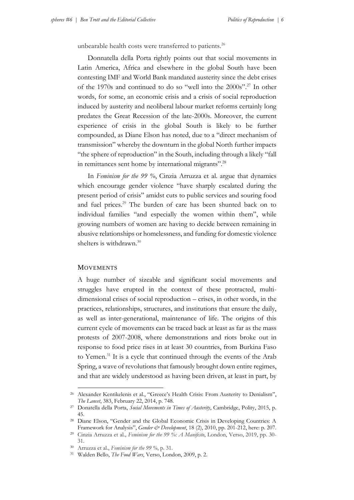unbearable health costs were transferred to patients.<sup>26</sup>

Donnatella della Porta rightly points out that social movements in Latin America, Africa and elsewhere in the global South have been contesting IMF and World Bank mandated austerity since the debt crises of the 1970s and continued to do so "well into the 2000s".<sup>27</sup> In other words, for some, an economic crisis and a crisis of social reproduction induced by austerity and neoliberal labour market reforms certainly long predates the Great Recession of the late-2000s. Moreover, the current experience of crisis in the global South is likely to be further compounded, as Diane Elson has noted, due to a "direct mechanism of transmission" whereby the downturn in the global North further impacts "the sphere of reproduction" in the South, including through a likely "fall in remittances sent home by international migrants".<sup>28</sup>

In *Feminism for the 99 %*, Cinzia Arruzza et al. argue that dynamics which encourage gender violence "have sharply escalated during the present period of crisis" amidst cuts to public services and souring food and fuel prices.<sup>29</sup> The burden of care has been shunted back on to individual families "and especially the women within them", while growing numbers of women are having to decide between remaining in abusive relationships or homelessness, and funding for domestic violence shelters is withdrawn.<sup>30</sup>

### **MOVEMENTS**

A huge number of sizeable and significant social movements and struggles have erupted in the context of these protracted, multidimensional crises of social reproduction – crises, in other words, in the practices, relationships, structures, and institutions that ensure the daily, as well as inter-generational, maintenance of life. The origins of this current cycle of movements can be traced back at least as far as the mass protests of 2007-2008, where demonstrations and riots broke out in response to food price rises in at least 30 countries, from Burkina Faso to Yemen.<sup>31</sup> It is a cycle that continued through the events of the Arab Spring, a wave of revolutions that famously brought down entire regimes, and that are widely understood as having been driven, at least in part, by

<sup>&</sup>lt;sup>26</sup> Alexander Kentikelenis et al., "Greece's Health Crisis: From Austerity to Denialism", *The Lancet*, 383, February 22, 2014, p. 748.

<sup>27</sup> Donatella della Porta, *Social Movements in Times of Austerity*, Cambridge, Polity, 2015, p. 45.

<sup>28</sup> Diane Elson, "Gender and the Global Economic Crisis in Developing Countries: A Framework for Analysis", *Gender & Development*, 18 (2), 2010, pp. 201-212, here: p. 207.

<sup>29</sup> Cinzia Arruzza et al., *Feminism for the 99 %: A Manifesto*, London, Verso, 2019, pp. 30- 31.

<sup>30</sup> Arruzza et al., *Feminism for the 99 %*, p. 31.

<sup>31</sup> Walden Bello, *The Food Wars*, Verso, London, 2009, p. 2.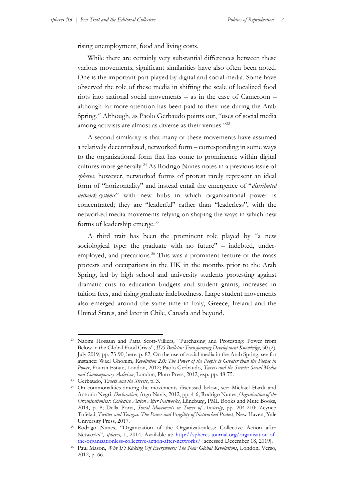rising unemployment, food and living costs.

While there are certainly very substantial differences between these various movements, significant similarities have also often been noted. One is the important part played by digital and social media. Some have observed the role of these media in shifting the scale of localized food riots into national social movements – as in the case of Cameroon – although far more attention has been paid to their use during the Arab Spring.<sup>32</sup> Although, as Paolo Gerbaudo points out, "uses of social media among activists are almost as diverse as their venues."<sup>33</sup>

A second similarity is that many of these movements have assumed a relatively decentralized, networked form – corresponding in some ways to the organizational form that has come to prominence within digital cultures more generally.<sup>34</sup> As Rodrigo Nunes notes in a previous issue of *spheres*, however, networked forms of protest rarely represent an ideal form of "horizontality" and instead entail the emergence of "*distributed network-systems*" with new hubs in which organizational power is concentrated; they are "leaderful" rather than "leaderless", with the networked media movements relying on shaping the ways in which new forms of leadership emerge.<sup>35</sup>

A third trait has been the prominent role played by "a new sociological type: the graduate with no future" – indebted, underemployed, and precarious.<sup>36</sup> This was a prominent feature of the mass protests and occupations in the UK in the months prior to the Arab Spring, led by high school and university students protesting against dramatic cuts to education budgets and student grants, increases in tuition fees, and rising graduate indebtedness. Large student movements also emerged around the same time in Italy, Greece, Ireland and the United States, and later in Chile, Canada and beyond.

<sup>32</sup> Naomi Hossain and Patta Scott-Villiers, "Purchasing and Protesting: Power from Below in the Global Food Crisis", *IDS Bulletin: Transforming Development Knowledge*, 50 (2), July 2019, pp. 73-90, here: p. 82. On the use of social media in the Arab Spring, see for instance: Wael Ghonim, *Revolution 2.0: The Power of the People is Greater than the People in Power*, Fourth Estate, London, 2012; Paolo Gerbaudo, *Tweets and the Streets: Social Media and Contemporary Activism*, London, Pluto Press, 2012, esp. pp. 48-75.

<sup>33</sup> Gerbaudo, *Tweets and the Streets*, p. 3.

<sup>34</sup> On commonalities among the movements discussed below, see: Michael Hardt and Antonio Negri, *Declaration*, Argo Navis, 2012, pp. 4-6; Rodrigo Nunes, *Organisation of the Organisationless: Collective Action After Networks*, Lüneburg, PML Books and Mute Books, 2014, p. 8; Della Porta, *Social Movements in Times of Austerity*, pp. 204-210; Zeynep Tufekci, *Twitter and Teargas: The Power and Fragility of Networked Protest*, New Haven, Yale University Press, 2017.

<sup>35</sup> Rodrigo Nunes, "Organization of the Organizationless: Collective Action after Networks", *spheres,* 1, 2014. Available at: [http://spheres-journal.org/organisation-of](http://spheres-journal.org/organisation-of-the-organisationless-collective-action-after-networks/)[the-organisationless-collective-action-after-networks/](http://spheres-journal.org/organisation-of-the-organisationless-collective-action-after-networks/) [accessed December 18, 2019].

<sup>36</sup> Paul Mason, *Why It's Kicking Off Everywhere: The New Global Revolutions*, London, Verso, 2012, p. 66.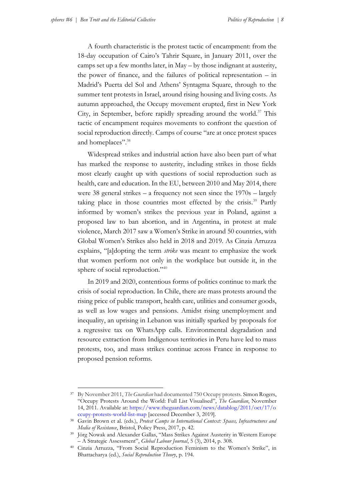A fourth characteristic is the protest tactic of encampment: from the 18-day occupation of Cairo's Tahrir Square, in January 2011, over the camps set up a few months later, in May – by those indignant at austerity, the power of finance, and the failures of political representation – in Madrid's Puerta del Sol and Athens' Syntagma Square, through to the summer tent protests in Israel, around rising housing and living costs. As autumn approached, the Occupy movement erupted, first in New York City, in September, before rapidly spreading around the world.<sup>37</sup> This tactic of encampment requires movements to confront the question of social reproduction directly. Camps of course "are at once protest spaces and homeplaces".<sup>38</sup>

Widespread strikes and industrial action have also been part of what has marked the response to austerity, including strikes in those fields most clearly caught up with questions of social reproduction such as health, care and education. In the EU, between 2010 and May 2014, there were 38 general strikes – a frequency not seen since the 1970s – largely taking place in those countries most effected by the crisis.<sup>39</sup> Partly informed by women's strikes the previous year in Poland, against a proposed law to ban abortion, and in Argentina, in protest at male violence, March 2017 saw a Women's Strike in around 50 countries, with Global Women's Strikes also held in 2018 and 2019. As Cinzia Arruzza explains, "[a]dopting the term *strike* was meant to emphasize the work that women perform not only in the workplace but outside it, in the sphere of social reproduction."<sup>40</sup>

In 2019 and 2020, contentious forms of politics continue to mark the crisis of social reproduction. In Chile, there are mass protests around the rising price of public transport, health care, utilities and consumer goods, as well as low wages and pensions. Amidst rising unemployment and inequality, an uprising in Lebanon was initially sparked by proposals for a regressive tax on WhatsApp calls. Environmental degradation and resource extraction from Indigenous territories in Peru have led to mass protests, too, and mass strikes continue across France in response to proposed pension reforms.

<sup>37</sup> By November 2011, *The Guardian* had documented 750 Occupy protests. Simon Rogers, "Occupy Protests Around the World: Full List Visualised", *The Guardian*, November 14, 2011. Available at: [https://www.theguardian.com/news/datablog/2011/oct/17/o](https://www.theguardian.com/news/datablog/2011/oct/17/occupy-protests-world-list-map) [ccupy-protests-world-list-map](https://www.theguardian.com/news/datablog/2011/oct/17/occupy-protests-world-list-map) [accessed December 3, 2019].

<sup>38</sup> Gavin Brown et al. (eds.), *Protest Camps in International Context: Spaces, Infrastructures and Media of Resistance*, Bristol, Policy Press, 2017, p. 42.

<sup>&</sup>lt;sup>39</sup> Jörg Nowak and Alexander Gallas, "Mass Strikes Against Austerity in Western Europe – A Strategic Assessment", *Global Labour Journal*, 5 (3), 2014, p. 308.

<sup>40</sup> Cinzia Arruzza, "From Social Reproduction Feminism to the Women's Strike", in Bhattacharya (ed.), *Social Reproduction Theory*, p. 194.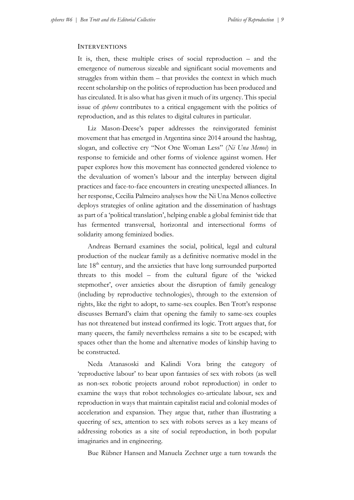#### INTERVENTIONS

It is, then, these multiple crises of social reproduction – and the emergence of numerous sizeable and significant social movements and struggles from within them – that provides the context in which much recent scholarship on the politics of reproduction has been produced and has circulated. It is also what has given it much of its urgency. This special issue of *spheres* contributes to a critical engagement with the politics of reproduction, and as this relates to digital cultures in particular.

Liz Mason-Deese's paper addresses the reinvigorated feminist movement that has emerged in Argentina since 2014 around the hashtag, slogan, and collective cry "Not One Woman Less" (*Ni Una Menos*) in response to femicide and other forms of violence against women. Her paper explores how this movement has connected gendered violence to the devaluation of women's labour and the interplay between digital practices and face-to-face encounters in creating unexpected alliances. In her response, Cecilia Palmeiro analyses how the Ni Una Menos collective deploys strategies of online agitation and the dissemination of hashtags as part of a 'political translation', helping enable a global feminist tide that has fermented transversal, horizontal and intersectional forms of solidarity among feminized bodies.

Andreas Bernard examines the social, political, legal and cultural production of the nuclear family as a definitive normative model in the late  $18<sup>th</sup>$  century, and the anxieties that have long surrounded purported threats to this model – from the cultural figure of the 'wicked stepmother', over anxieties about the disruption of family genealogy (including by reproductive technologies), through to the extension of rights, like the right to adopt, to same-sex couples. Ben Trott's response discusses Bernard's claim that opening the family to same-sex couples has not threatened but instead confirmed its logic. Trott argues that, for many queers, the family nevertheless remains a site to be escaped; with spaces other than the home and alternative modes of kinship having to be constructed.

Neda Atanasoski and Kalindi Vora bring the category of 'reproductive labour' to bear upon fantasies of sex with robots (as well as non-sex robotic projects around robot reproduction) in order to examine the ways that robot technologies co-articulate labour, sex and reproduction in ways that maintain capitalist racial and colonial modes of acceleration and expansion. They argue that, rather than illustrating a queering of sex, attention to sex with robots serves as a key means of addressing robotics as a site of social reproduction, in both popular imaginaries and in engineering.

Bue Rübner Hansen and Manuela Zechner urge a turn towards the